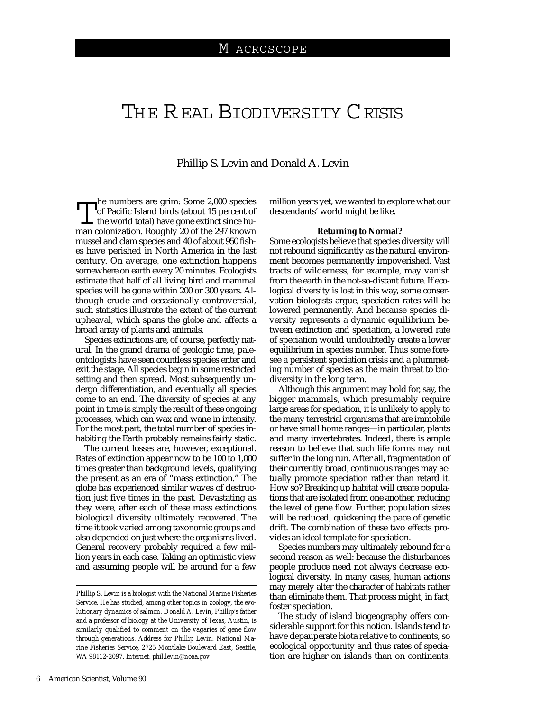# THE REAL BIODIVERSITY CRISIS

## Phillip S. Levin and Donald A. Levin

The numbers are grim: Some 2,000 species<br>of Pacific Island birds (about 15 percent of<br>the world total) have gone extinct since human colonization. Boughly 20 of the 297 known of Pacific Island birds (about 15 percent of the world total) have gone extinct since human colonization. Roughly 20 of the 297 known mussel and clam species and 40 of about 950 fishes have perished in North America in the last century. On average, one extinction happens somewhere on earth every 20 minutes. Ecologists estimate that half of all living bird and mammal species will be gone within 200 or 300 years. Although crude and occasionally controversial, such statistics illustrate the extent of the current upheaval, which spans the globe and affects a broad array of plants and animals.

Species extinctions are, of course, perfectly natural. In the grand drama of geologic time, paleontologists have seen countless species enter and exit the stage. All species begin in some restricted setting and then spread. Most subsequently undergo differentiation, and eventually all species come to an end. The diversity of species at any point in time is simply the result of these ongoing processes, which can wax and wane in intensity. For the most part, the total number of species inhabiting the Earth probably remains fairly static.

The current losses are, however, exceptional. Rates of extinction appear now to be 100 to 1,000 times greater than background levels, qualifying the present as an era of "mass extinction." The globe has experienced similar waves of destruction just five times in the past. Devastating as they were, after each of these mass extinctions biological diversity ultimately recovered. The time it took varied among taxonomic groups and also depended on just where the organisms lived. General recovery probably required a few million years in each case. Taking an optimistic view and assuming people will be around for a few million years yet, we wanted to explore what our descendants' world might be like.

### **Returning to Normal?**

Some ecologists believe that species diversity will not rebound significantly as the natural environment becomes permanently impoverished. Vast tracts of wilderness, for example, may vanish from the earth in the not-so-distant future. If ecological diversity is lost in this way, some conservation biologists argue, speciation rates will be lowered permanently. And because species diversity represents a dynamic equilibrium between extinction and speciation, a lowered rate of speciation would undoubtedly create a lower equilibrium in species number. Thus some foresee a persistent speciation crisis and a plummeting number of species as the main threat to biodiversity in the long term.

Although this argument may hold for, say, the bigger mammals, which presumably require large areas for speciation, it is unlikely to apply to the many terrestrial organisms that are immobile or have small home ranges—in particular, plants and many invertebrates. Indeed, there is ample reason to believe that such life forms may not suffer in the long run. After all, fragmentation of their currently broad, continuous ranges may actually promote speciation rather than retard it. How so? Breaking up habitat will create populations that are isolated from one another, reducing the level of gene flow. Further, population sizes will be reduced, quickening the pace of genetic drift. The combination of these two effects provides an ideal template for speciation.

Species numbers may ultimately rebound for a second reason as well: because the disturbances people produce need not always decrease ecological diversity. In many cases, human actions may merely alter the character of habitats rather than eliminate them. That process might, in fact, foster speciation.

The study of island biogeography offers considerable support for this notion. Islands tend to have depauperate biota relative to continents, so ecological opportunity and thus rates of speciation are higher on islands than on continents.

*Phillip S. Levin is a biologist with the National Marine Fisheries Service. He has studied, among other topics in zoology, the evolutionary dynamics of salmon. Donald A. Levin, Phillip's father and a professor of biology at the University of Texas, Austin, is similarly qualified to comment on the vagaries of gene flow through generations. Address for Phillip Levin: National Marine Fisheries Service, 2725 Montlake Boulevard East, Seattle, WA 98112-2097. Internet: phil.levin@noaa.gov*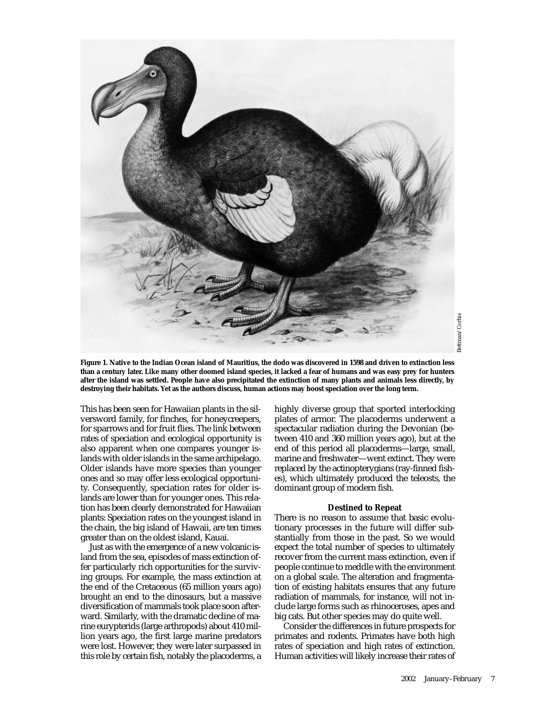

**Figure 1. Native to the Indian Ocean island of Mauritius, the dodo was discovered in 1598 and driven to extinction less than a century later. Like many other doomed island species, it lacked a fear of humans and was easy prey for hunters after the island was settled. People have also precipitated the extinction of many plants and animals less directly, by destroying their habitats. Yet as the authors discuss, human actions may boost speciation over the long term.**

This has been seen for Hawaiian plants in the silversword family, for finches, for honeycreepers, for sparrows and for fruit flies. The link between rates of speciation and ecological opportunity is also apparent when one compares younger islands with older islands in the same archipelago. Older islands have more species than younger ones and so may offer less ecological opportunity. Consequently, speciation rates for older islands are lower than for younger ones. This relation has been clearly demonstrated for Hawaiian plants: Speciation rates on the youngest island in the chain, the big island of Hawaii, are ten times greater than on the oldest island, Kauai.

Just as with the emergence of a new volcanic island from the sea, episodes of mass extinction offer particularly rich opportunities for the surviving groups. For example, the mass extinction at the end of the Cretaceous (65 million years ago) brought an end to the dinosaurs, but a massive diversification of mammals took place soon afterward. Similarly, with the dramatic decline of marine eurypterids (large arthropods) about 410 million years ago, the first large marine predators were lost. However, they were later surpassed in this role by certain fish, notably the placoderms, a highly diverse group that sported interlocking plates of armor. The placoderms underwent a spectacular radiation during the Devonian (between 410 and 360 million years ago), but at the end of this period all placoderms—large, small, marine and freshwater—went extinct. They were replaced by the actinopterygians (ray-finned fishes), which ultimately produced the teleosts, the dominant group of modern fish.

### **Destined to Repeat**

There is no reason to assume that basic evolutionary processes in the future will differ substantially from those in the past. So we would expect the total number of species to ultimately recover from the current mass extinction, even if people continue to meddle with the environment on a global scale. The alteration and fragmentation of existing habitats ensures that any future radiation of mammals, for instance, will not include large forms such as rhinoceroses, apes and big cats. But other species may do quite well.

Consider the differences in future prospects for primates and rodents. Primates have both high rates of speciation and high rates of extinction. Human activities will likely increase their rates of